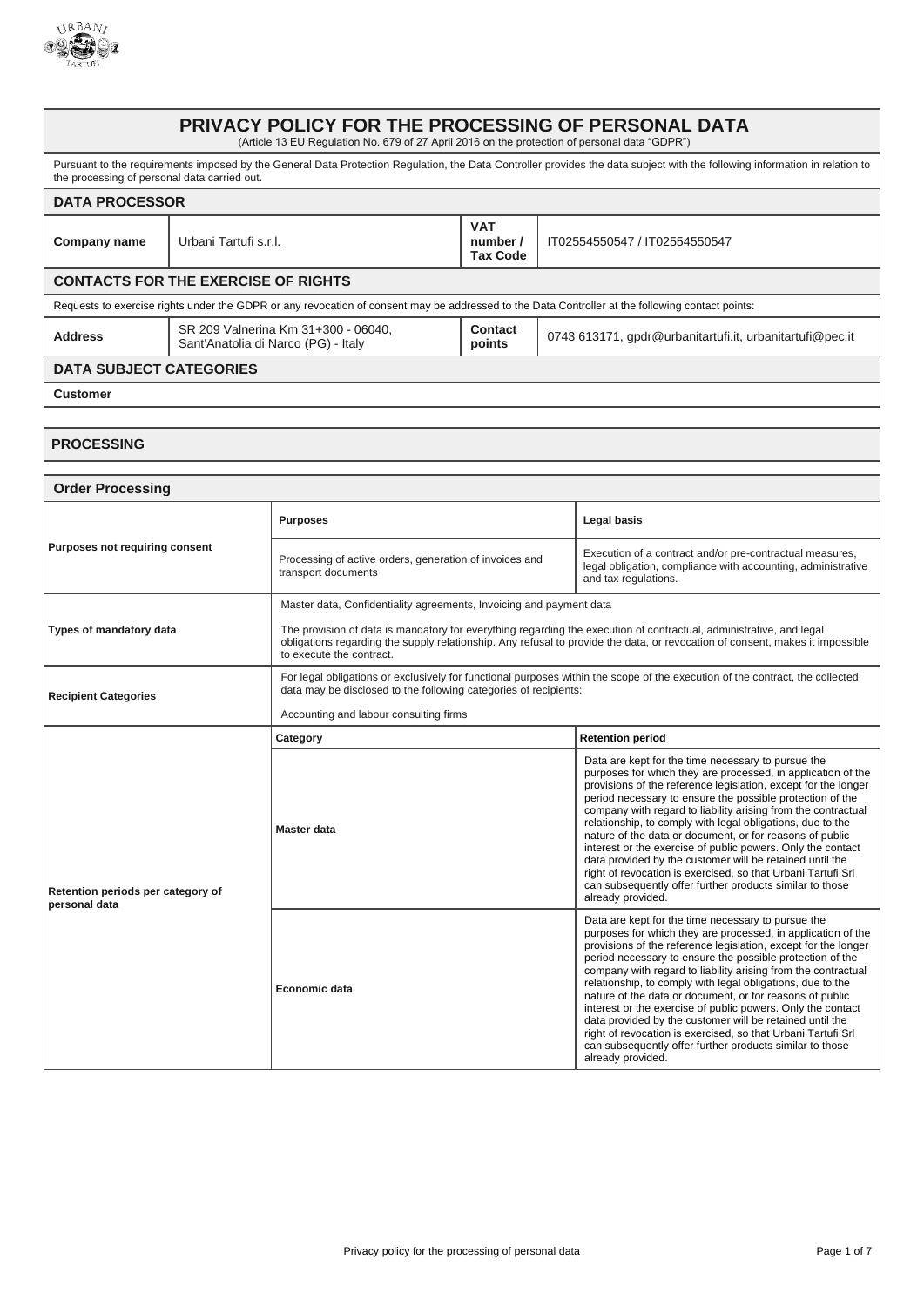

## **PRIVACY POLICY FOR THE PROCESSING OF PERSONAL DATA** (Article 13 EU Regulation No. 679 of 27 April 2016 on the protection of personal data "GDPR") Pursuant to the requirements imposed by the General Data Protection Regulation, the Data Controller provides the data subject with the following information in relation to the processing of personal data carried out. **DATA PROCESSOR Company name** Urbani Tartufi s.r.l. **VAT number / Tax Code** IT02554550547 / IT02554550547 **CONTACTS FOR THE EXERCISE OF RIGHTS** Requests to exercise rights under the GDPR or any revocation of consent may be addressed to the Data Controller at the following contact points: **Address** SR 209 Valnerina Km 31+300 - 06040, Sant'Anatolia di Narco (PG) - Italy **Contact points** 0743 613171, gpdr@urbanitartufi.it, urbanitartufi@pec.it **DATA SUBJECT CATEGORIES Customer**

## **PROCESSING**

| <b>Order Processing</b>                            |                                                                                                                                                                                                                                                                                  |                                                                                                                                                                                                                                                                                                                                                                                                                                                                                                                                                                                                                                                                                                                          |
|----------------------------------------------------|----------------------------------------------------------------------------------------------------------------------------------------------------------------------------------------------------------------------------------------------------------------------------------|--------------------------------------------------------------------------------------------------------------------------------------------------------------------------------------------------------------------------------------------------------------------------------------------------------------------------------------------------------------------------------------------------------------------------------------------------------------------------------------------------------------------------------------------------------------------------------------------------------------------------------------------------------------------------------------------------------------------------|
| Purposes not requiring consent                     | <b>Purposes</b>                                                                                                                                                                                                                                                                  | <b>Legal basis</b>                                                                                                                                                                                                                                                                                                                                                                                                                                                                                                                                                                                                                                                                                                       |
|                                                    | Processing of active orders, generation of invoices and<br>transport documents                                                                                                                                                                                                   | Execution of a contract and/or pre-contractual measures,<br>legal obligation, compliance with accounting, administrative<br>and tax regulations.                                                                                                                                                                                                                                                                                                                                                                                                                                                                                                                                                                         |
|                                                    | Master data, Confidentiality agreements, Invoicing and payment data                                                                                                                                                                                                              |                                                                                                                                                                                                                                                                                                                                                                                                                                                                                                                                                                                                                                                                                                                          |
| Types of mandatory data                            | The provision of data is mandatory for everything regarding the execution of contractual, administrative, and legal<br>obligations regarding the supply relationship. Any refusal to provide the data, or revocation of consent, makes it impossible<br>to execute the contract. |                                                                                                                                                                                                                                                                                                                                                                                                                                                                                                                                                                                                                                                                                                                          |
| <b>Recipient Categories</b>                        | For legal obligations or exclusively for functional purposes within the scope of the execution of the contract, the collected<br>data may be disclosed to the following categories of recipients:                                                                                |                                                                                                                                                                                                                                                                                                                                                                                                                                                                                                                                                                                                                                                                                                                          |
|                                                    | Accounting and labour consulting firms                                                                                                                                                                                                                                           |                                                                                                                                                                                                                                                                                                                                                                                                                                                                                                                                                                                                                                                                                                                          |
|                                                    | Category                                                                                                                                                                                                                                                                         | <b>Retention period</b>                                                                                                                                                                                                                                                                                                                                                                                                                                                                                                                                                                                                                                                                                                  |
| Retention periods per category of<br>personal data | Master data                                                                                                                                                                                                                                                                      | Data are kept for the time necessary to pursue the<br>purposes for which they are processed, in application of the<br>provisions of the reference legislation, except for the longer<br>period necessary to ensure the possible protection of the<br>company with regard to liability arising from the contractual<br>relationship, to comply with legal obligations, due to the<br>nature of the data or document, or for reasons of public<br>interest or the exercise of public powers. Only the contact<br>data provided by the customer will be retained until the<br>right of revocation is exercised, so that Urbani Tartufi Srl<br>can subsequently offer further products similar to those<br>already provided. |
|                                                    | Economic data                                                                                                                                                                                                                                                                    | Data are kept for the time necessary to pursue the<br>purposes for which they are processed, in application of the<br>provisions of the reference legislation, except for the longer<br>period necessary to ensure the possible protection of the<br>company with regard to liability arising from the contractual<br>relationship, to comply with legal obligations, due to the<br>nature of the data or document, or for reasons of public<br>interest or the exercise of public powers. Only the contact<br>data provided by the customer will be retained until the<br>right of revocation is exercised, so that Urbani Tartufi Srl<br>can subsequently offer further products similar to those<br>already provided. |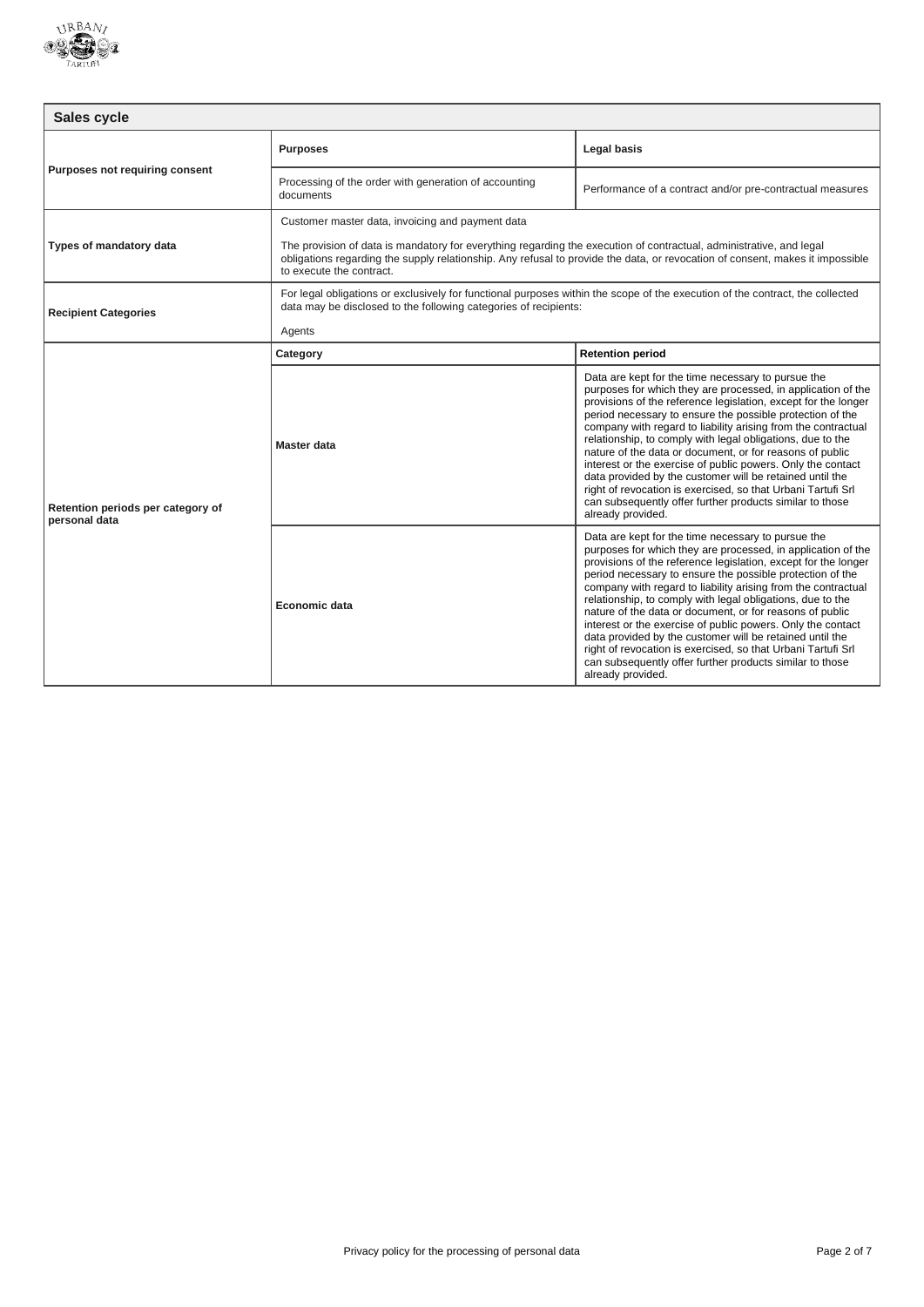

| Sales cycle                                        |                                                                                                                                                                                                                                                                                  |                                                                                                                                                                                                                                                                                                                                                                                                                                                                                                                                                                                                                                                                                                                          |
|----------------------------------------------------|----------------------------------------------------------------------------------------------------------------------------------------------------------------------------------------------------------------------------------------------------------------------------------|--------------------------------------------------------------------------------------------------------------------------------------------------------------------------------------------------------------------------------------------------------------------------------------------------------------------------------------------------------------------------------------------------------------------------------------------------------------------------------------------------------------------------------------------------------------------------------------------------------------------------------------------------------------------------------------------------------------------------|
| Purposes not requiring consent                     | <b>Purposes</b>                                                                                                                                                                                                                                                                  | <b>Legal basis</b>                                                                                                                                                                                                                                                                                                                                                                                                                                                                                                                                                                                                                                                                                                       |
|                                                    | Processing of the order with generation of accounting<br>documents                                                                                                                                                                                                               | Performance of a contract and/or pre-contractual measures                                                                                                                                                                                                                                                                                                                                                                                                                                                                                                                                                                                                                                                                |
| Types of mandatory data                            | Customer master data, invoicing and payment data                                                                                                                                                                                                                                 |                                                                                                                                                                                                                                                                                                                                                                                                                                                                                                                                                                                                                                                                                                                          |
|                                                    | The provision of data is mandatory for everything regarding the execution of contractual, administrative, and legal<br>obligations regarding the supply relationship. Any refusal to provide the data, or revocation of consent, makes it impossible<br>to execute the contract. |                                                                                                                                                                                                                                                                                                                                                                                                                                                                                                                                                                                                                                                                                                                          |
| <b>Recipient Categories</b>                        | For legal obligations or exclusively for functional purposes within the scope of the execution of the contract, the collected<br>data may be disclosed to the following categories of recipients:                                                                                |                                                                                                                                                                                                                                                                                                                                                                                                                                                                                                                                                                                                                                                                                                                          |
|                                                    | Agents                                                                                                                                                                                                                                                                           |                                                                                                                                                                                                                                                                                                                                                                                                                                                                                                                                                                                                                                                                                                                          |
|                                                    | Category                                                                                                                                                                                                                                                                         | <b>Retention period</b>                                                                                                                                                                                                                                                                                                                                                                                                                                                                                                                                                                                                                                                                                                  |
| Retention periods per category of<br>personal data | Master data                                                                                                                                                                                                                                                                      | Data are kept for the time necessary to pursue the<br>purposes for which they are processed, in application of the<br>provisions of the reference legislation, except for the longer<br>period necessary to ensure the possible protection of the<br>company with regard to liability arising from the contractual<br>relationship, to comply with legal obligations, due to the<br>nature of the data or document, or for reasons of public<br>interest or the exercise of public powers. Only the contact<br>data provided by the customer will be retained until the<br>right of revocation is exercised, so that Urbani Tartufi Srl<br>can subsequently offer further products similar to those<br>already provided. |
|                                                    | Economic data                                                                                                                                                                                                                                                                    | Data are kept for the time necessary to pursue the<br>purposes for which they are processed, in application of the<br>provisions of the reference legislation, except for the longer<br>period necessary to ensure the possible protection of the<br>company with regard to liability arising from the contractual<br>relationship, to comply with legal obligations, due to the<br>nature of the data or document, or for reasons of public<br>interest or the exercise of public powers. Only the contact<br>data provided by the customer will be retained until the<br>right of revocation is exercised, so that Urbani Tartufi Srl<br>can subsequently offer further products similar to those<br>already provided. |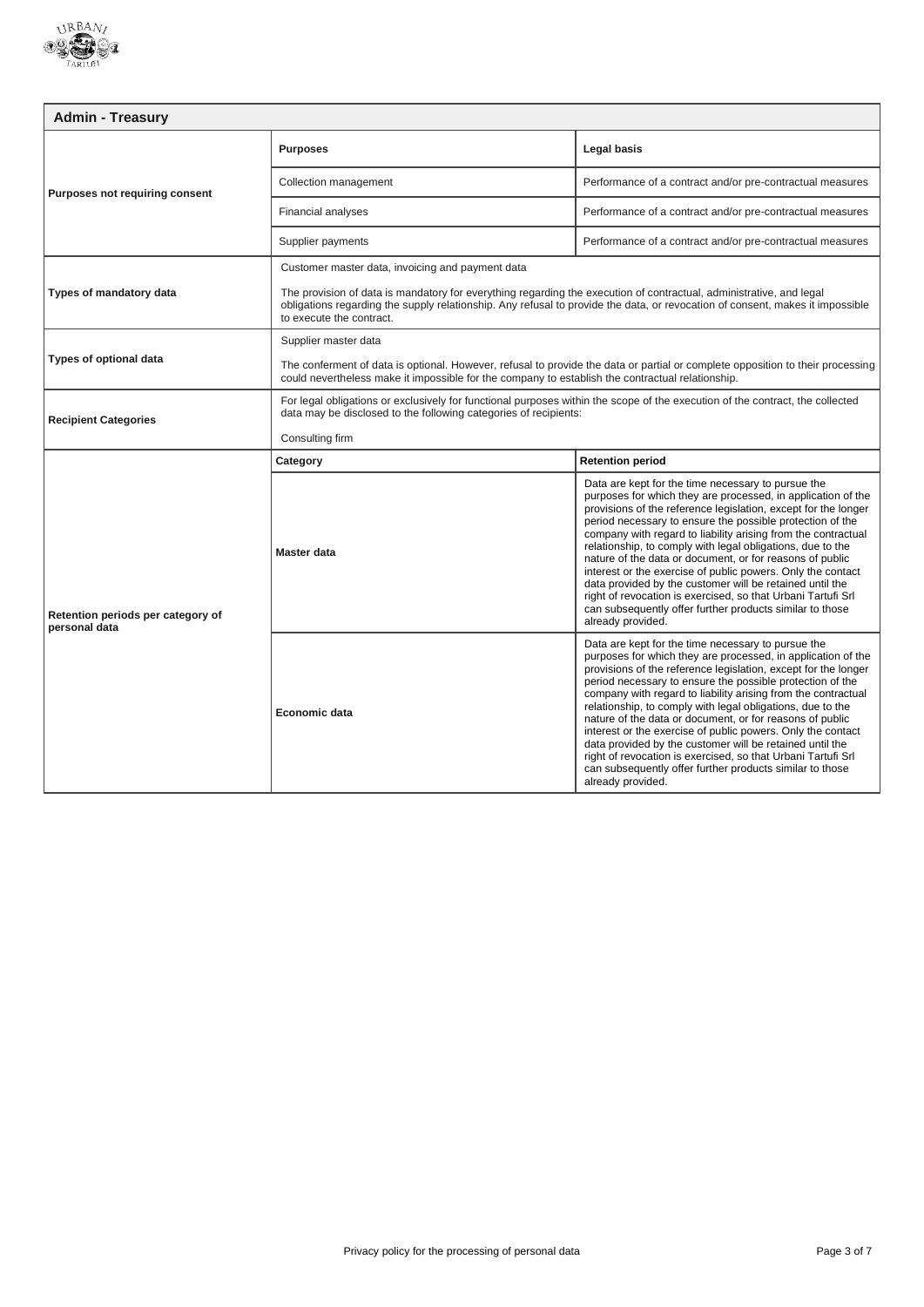

| <b>Admin - Treasury</b>                            |                                                                                                                                                                                                                                                                                  |                                                                                                                                                                                                                                                                                                                                                                                                                                                                                                                                                                                                                                                                    |
|----------------------------------------------------|----------------------------------------------------------------------------------------------------------------------------------------------------------------------------------------------------------------------------------------------------------------------------------|--------------------------------------------------------------------------------------------------------------------------------------------------------------------------------------------------------------------------------------------------------------------------------------------------------------------------------------------------------------------------------------------------------------------------------------------------------------------------------------------------------------------------------------------------------------------------------------------------------------------------------------------------------------------|
| Purposes not requiring consent                     | <b>Purposes</b>                                                                                                                                                                                                                                                                  | Legal basis                                                                                                                                                                                                                                                                                                                                                                                                                                                                                                                                                                                                                                                        |
|                                                    | Collection management                                                                                                                                                                                                                                                            | Performance of a contract and/or pre-contractual measures                                                                                                                                                                                                                                                                                                                                                                                                                                                                                                                                                                                                          |
|                                                    | Financial analyses                                                                                                                                                                                                                                                               | Performance of a contract and/or pre-contractual measures                                                                                                                                                                                                                                                                                                                                                                                                                                                                                                                                                                                                          |
|                                                    | Supplier payments                                                                                                                                                                                                                                                                | Performance of a contract and/or pre-contractual measures                                                                                                                                                                                                                                                                                                                                                                                                                                                                                                                                                                                                          |
|                                                    | Customer master data, invoicing and payment data                                                                                                                                                                                                                                 |                                                                                                                                                                                                                                                                                                                                                                                                                                                                                                                                                                                                                                                                    |
| Types of mandatory data                            | The provision of data is mandatory for everything regarding the execution of contractual, administrative, and legal<br>obligations regarding the supply relationship. Any refusal to provide the data, or revocation of consent, makes it impossible<br>to execute the contract. |                                                                                                                                                                                                                                                                                                                                                                                                                                                                                                                                                                                                                                                                    |
|                                                    | Supplier master data                                                                                                                                                                                                                                                             |                                                                                                                                                                                                                                                                                                                                                                                                                                                                                                                                                                                                                                                                    |
| Types of optional data                             | The conferment of data is optional. However, refusal to provide the data or partial or complete opposition to their processing<br>could nevertheless make it impossible for the company to establish the contractual relationship.                                               |                                                                                                                                                                                                                                                                                                                                                                                                                                                                                                                                                                                                                                                                    |
| <b>Recipient Categories</b>                        | For legal obligations or exclusively for functional purposes within the scope of the execution of the contract, the collected<br>data may be disclosed to the following categories of recipients:                                                                                |                                                                                                                                                                                                                                                                                                                                                                                                                                                                                                                                                                                                                                                                    |
|                                                    | Consulting firm                                                                                                                                                                                                                                                                  |                                                                                                                                                                                                                                                                                                                                                                                                                                                                                                                                                                                                                                                                    |
|                                                    | Category                                                                                                                                                                                                                                                                         | <b>Retention period</b>                                                                                                                                                                                                                                                                                                                                                                                                                                                                                                                                                                                                                                            |
| Retention periods per category of<br>personal data |                                                                                                                                                                                                                                                                                  | Data are kept for the time necessary to pursue the                                                                                                                                                                                                                                                                                                                                                                                                                                                                                                                                                                                                                 |
|                                                    | <b>Master data</b>                                                                                                                                                                                                                                                               | purposes for which they are processed, in application of the<br>provisions of the reference legislation, except for the longer<br>period necessary to ensure the possible protection of the<br>company with regard to liability arising from the contractual<br>relationship, to comply with legal obligations, due to the<br>nature of the data or document, or for reasons of public<br>interest or the exercise of public powers. Only the contact<br>data provided by the customer will be retained until the<br>right of revocation is exercised, so that Urbani Tartufi Srl<br>can subsequently offer further products similar to those<br>already provided. |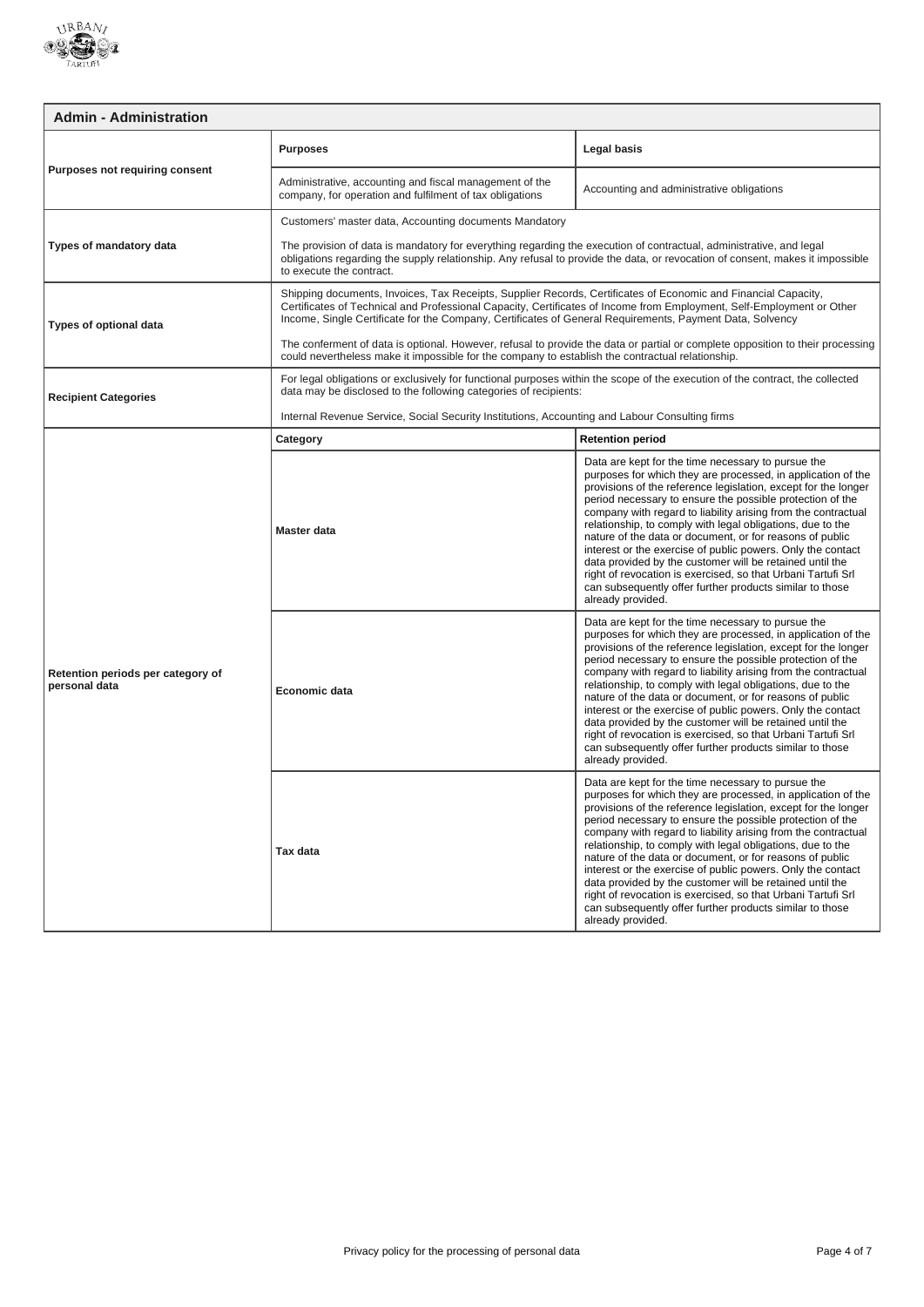

| <b>Admin - Administration</b>                      |                                                                                                                                                                                                                                                                                                                                                     |                                                                                                                                                                                                                                                                                                                                                                                                                                                                                                                                                                                                                                                                                                                          |
|----------------------------------------------------|-----------------------------------------------------------------------------------------------------------------------------------------------------------------------------------------------------------------------------------------------------------------------------------------------------------------------------------------------------|--------------------------------------------------------------------------------------------------------------------------------------------------------------------------------------------------------------------------------------------------------------------------------------------------------------------------------------------------------------------------------------------------------------------------------------------------------------------------------------------------------------------------------------------------------------------------------------------------------------------------------------------------------------------------------------------------------------------------|
| <b>Purposes not requiring consent</b>              | <b>Purposes</b>                                                                                                                                                                                                                                                                                                                                     | Legal basis                                                                                                                                                                                                                                                                                                                                                                                                                                                                                                                                                                                                                                                                                                              |
|                                                    | Administrative, accounting and fiscal management of the<br>company, for operation and fulfilment of tax obligations                                                                                                                                                                                                                                 | Accounting and administrative obligations                                                                                                                                                                                                                                                                                                                                                                                                                                                                                                                                                                                                                                                                                |
|                                                    | Customers' master data, Accounting documents Mandatory                                                                                                                                                                                                                                                                                              |                                                                                                                                                                                                                                                                                                                                                                                                                                                                                                                                                                                                                                                                                                                          |
| Types of mandatory data                            | The provision of data is mandatory for everything regarding the execution of contractual, administrative, and legal<br>obligations regarding the supply relationship. Any refusal to provide the data, or revocation of consent, makes it impossible<br>to execute the contract.                                                                    |                                                                                                                                                                                                                                                                                                                                                                                                                                                                                                                                                                                                                                                                                                                          |
| <b>Types of optional data</b>                      | Shipping documents, Invoices, Tax Receipts, Supplier Records, Certificates of Economic and Financial Capacity,<br>Certificates of Technical and Professional Capacity, Certificates of Income from Employment, Self-Employment or Other<br>Income, Single Certificate for the Company, Certificates of General Requirements, Payment Data, Solvency |                                                                                                                                                                                                                                                                                                                                                                                                                                                                                                                                                                                                                                                                                                                          |
|                                                    | The conferment of data is optional. However, refusal to provide the data or partial or complete opposition to their processing<br>could nevertheless make it impossible for the company to establish the contractual relationship.                                                                                                                  |                                                                                                                                                                                                                                                                                                                                                                                                                                                                                                                                                                                                                                                                                                                          |
| <b>Recipient Categories</b>                        | For legal obligations or exclusively for functional purposes within the scope of the execution of the contract, the collected<br>data may be disclosed to the following categories of recipients:                                                                                                                                                   |                                                                                                                                                                                                                                                                                                                                                                                                                                                                                                                                                                                                                                                                                                                          |
|                                                    | Internal Revenue Service, Social Security Institutions, Accounting and Labour Consulting firms                                                                                                                                                                                                                                                      |                                                                                                                                                                                                                                                                                                                                                                                                                                                                                                                                                                                                                                                                                                                          |
|                                                    | Category                                                                                                                                                                                                                                                                                                                                            | <b>Retention period</b>                                                                                                                                                                                                                                                                                                                                                                                                                                                                                                                                                                                                                                                                                                  |
| Retention periods per category of<br>personal data | Master data                                                                                                                                                                                                                                                                                                                                         | Data are kept for the time necessary to pursue the<br>purposes for which they are processed, in application of the<br>provisions of the reference legislation, except for the longer<br>period necessary to ensure the possible protection of the<br>company with regard to liability arising from the contractual<br>relationship, to comply with legal obligations, due to the<br>nature of the data or document, or for reasons of public<br>interest or the exercise of public powers. Only the contact<br>data provided by the customer will be retained until the<br>right of revocation is exercised, so that Urbani Tartufi Srl<br>can subsequently offer further products similar to those<br>already provided. |
|                                                    | Economic data                                                                                                                                                                                                                                                                                                                                       | Data are kept for the time necessary to pursue the<br>purposes for which they are processed, in application of the<br>provisions of the reference legislation, except for the longer<br>period necessary to ensure the possible protection of the<br>company with regard to liability arising from the contractual<br>relationship, to comply with legal obligations, due to the<br>nature of the data or document, or for reasons of public<br>interest or the exercise of public powers. Only the contact<br>data provided by the customer will be retained until the<br>right of revocation is exercised, so that Urbani Tartufi Srl<br>can subsequently offer further products similar to those<br>already provided. |
|                                                    | Tax data                                                                                                                                                                                                                                                                                                                                            | Data are kept for the time necessary to pursue the<br>purposes for which they are processed, in application of the<br>provisions of the reference legislation, except for the longer<br>period necessary to ensure the possible protection of the<br>company with regard to liability arising from the contractual<br>relationship, to comply with legal obligations, due to the<br>nature of the data or document, or for reasons of public<br>interest or the exercise of public powers. Only the contact<br>data provided by the customer will be retained until the<br>right of revocation is exercised, so that Urbani Tartufi Srl<br>can subsequently offer further products similar to those<br>already provided. |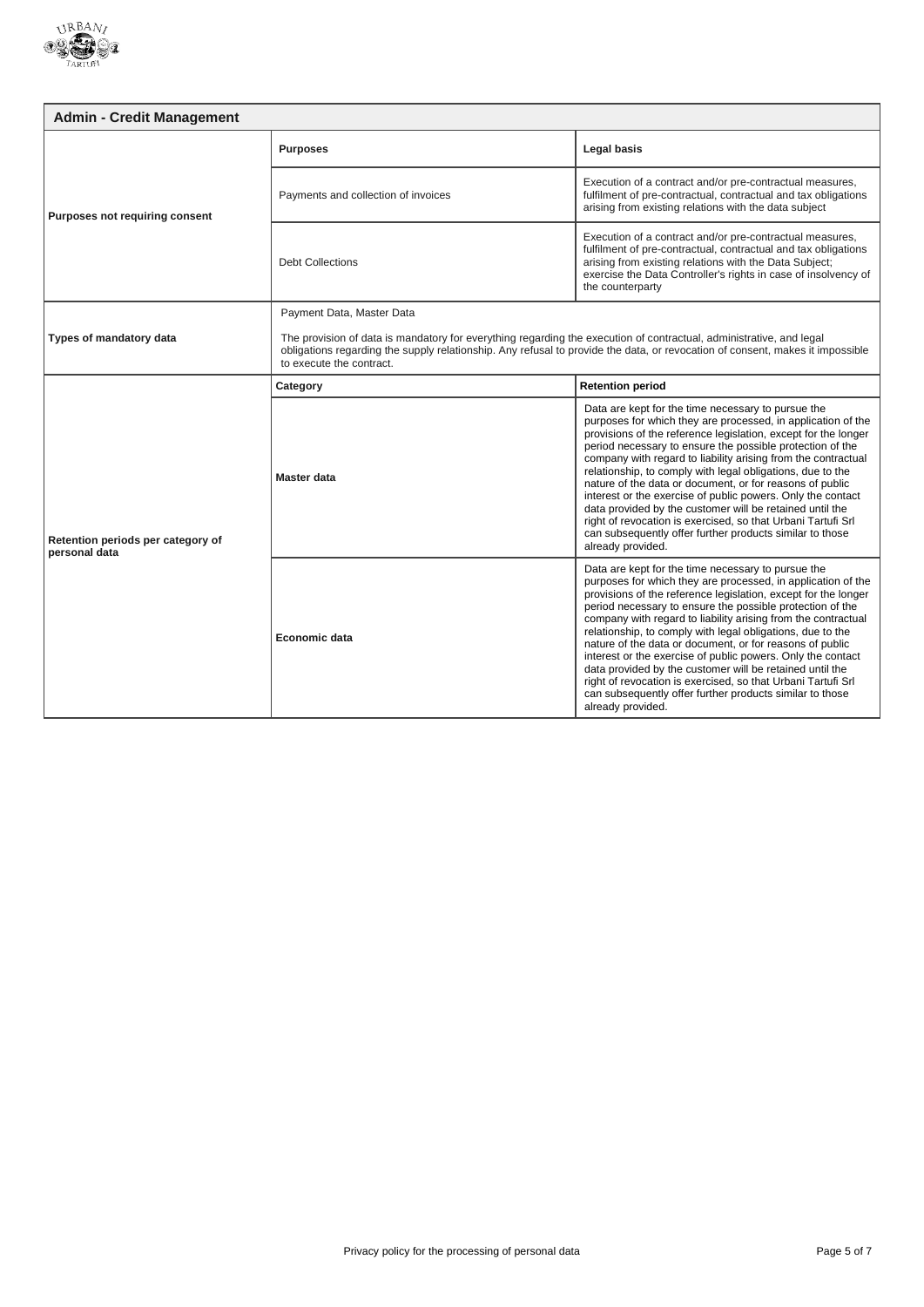

| <b>Admin - Credit Management</b>                   |                                                                                                                                                                                                                                                                                  |                                                                                                                                                                                                                                                                                                                                                                                                                                                                                                                                                                                                                                                                                                                          |
|----------------------------------------------------|----------------------------------------------------------------------------------------------------------------------------------------------------------------------------------------------------------------------------------------------------------------------------------|--------------------------------------------------------------------------------------------------------------------------------------------------------------------------------------------------------------------------------------------------------------------------------------------------------------------------------------------------------------------------------------------------------------------------------------------------------------------------------------------------------------------------------------------------------------------------------------------------------------------------------------------------------------------------------------------------------------------------|
| Purposes not requiring consent                     | <b>Purposes</b>                                                                                                                                                                                                                                                                  | <b>Legal basis</b>                                                                                                                                                                                                                                                                                                                                                                                                                                                                                                                                                                                                                                                                                                       |
|                                                    | Payments and collection of invoices                                                                                                                                                                                                                                              | Execution of a contract and/or pre-contractual measures,<br>fulfilment of pre-contractual, contractual and tax obligations<br>arising from existing relations with the data subject                                                                                                                                                                                                                                                                                                                                                                                                                                                                                                                                      |
|                                                    | <b>Debt Collections</b>                                                                                                                                                                                                                                                          | Execution of a contract and/or pre-contractual measures,<br>fulfilment of pre-contractual, contractual and tax obligations<br>arising from existing relations with the Data Subject;<br>exercise the Data Controller's rights in case of insolvency of<br>the counterparty                                                                                                                                                                                                                                                                                                                                                                                                                                               |
|                                                    | Payment Data, Master Data                                                                                                                                                                                                                                                        |                                                                                                                                                                                                                                                                                                                                                                                                                                                                                                                                                                                                                                                                                                                          |
| Types of mandatory data                            | The provision of data is mandatory for everything regarding the execution of contractual, administrative, and legal<br>obligations regarding the supply relationship. Any refusal to provide the data, or revocation of consent, makes it impossible<br>to execute the contract. |                                                                                                                                                                                                                                                                                                                                                                                                                                                                                                                                                                                                                                                                                                                          |
|                                                    | Category                                                                                                                                                                                                                                                                         | <b>Retention period</b>                                                                                                                                                                                                                                                                                                                                                                                                                                                                                                                                                                                                                                                                                                  |
| Retention periods per category of<br>personal data | Master data                                                                                                                                                                                                                                                                      | Data are kept for the time necessary to pursue the<br>purposes for which they are processed, in application of the<br>provisions of the reference legislation, except for the longer<br>period necessary to ensure the possible protection of the<br>company with regard to liability arising from the contractual<br>relationship, to comply with legal obligations, due to the<br>nature of the data or document, or for reasons of public<br>interest or the exercise of public powers. Only the contact<br>data provided by the customer will be retained until the<br>right of revocation is exercised, so that Urbani Tartufi Srl<br>can subsequently offer further products similar to those<br>already provided. |
|                                                    | Economic data                                                                                                                                                                                                                                                                    | Data are kept for the time necessary to pursue the<br>purposes for which they are processed, in application of the<br>provisions of the reference legislation, except for the longer<br>period necessary to ensure the possible protection of the<br>company with regard to liability arising from the contractual<br>relationship, to comply with legal obligations, due to the<br>nature of the data or document, or for reasons of public<br>interest or the exercise of public powers. Only the contact<br>data provided by the customer will be retained until the<br>right of revocation is exercised, so that Urbani Tartufi Srl<br>can subsequently offer further products similar to those<br>already provided. |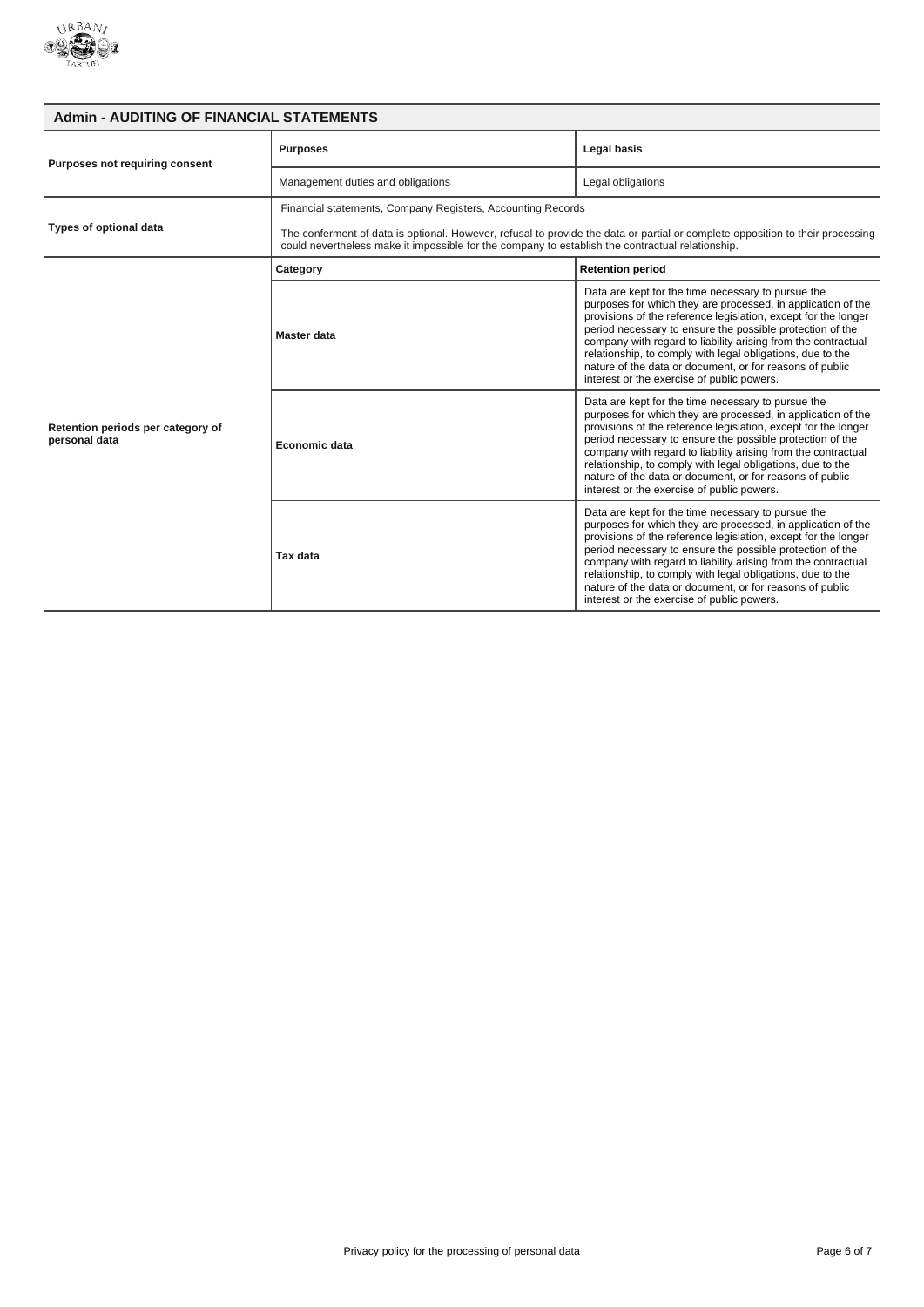

| <b>Admin - AUDITING OF FINANCIAL STATEMENTS</b>    |                                                                                                                                                                                                                                    |                                                                                                                                                                                                                                                                                                                                                                                                                                                                                            |
|----------------------------------------------------|------------------------------------------------------------------------------------------------------------------------------------------------------------------------------------------------------------------------------------|--------------------------------------------------------------------------------------------------------------------------------------------------------------------------------------------------------------------------------------------------------------------------------------------------------------------------------------------------------------------------------------------------------------------------------------------------------------------------------------------|
| Purposes not requiring consent                     | <b>Purposes</b>                                                                                                                                                                                                                    | Legal basis                                                                                                                                                                                                                                                                                                                                                                                                                                                                                |
|                                                    | Management duties and obligations                                                                                                                                                                                                  | Legal obligations                                                                                                                                                                                                                                                                                                                                                                                                                                                                          |
| Types of optional data                             | Financial statements, Company Registers, Accounting Records                                                                                                                                                                        |                                                                                                                                                                                                                                                                                                                                                                                                                                                                                            |
|                                                    | The conferment of data is optional. However, refusal to provide the data or partial or complete opposition to their processing<br>could nevertheless make it impossible for the company to establish the contractual relationship. |                                                                                                                                                                                                                                                                                                                                                                                                                                                                                            |
|                                                    | Category                                                                                                                                                                                                                           | <b>Retention period</b>                                                                                                                                                                                                                                                                                                                                                                                                                                                                    |
| Retention periods per category of<br>personal data | Master data                                                                                                                                                                                                                        | Data are kept for the time necessary to pursue the<br>purposes for which they are processed, in application of the<br>provisions of the reference legislation, except for the longer<br>period necessary to ensure the possible protection of the<br>company with regard to liability arising from the contractual<br>relationship, to comply with legal obligations, due to the<br>nature of the data or document, or for reasons of public<br>interest or the exercise of public powers. |
|                                                    | Economic data                                                                                                                                                                                                                      | Data are kept for the time necessary to pursue the<br>purposes for which they are processed, in application of the<br>provisions of the reference legislation, except for the longer<br>period necessary to ensure the possible protection of the<br>company with regard to liability arising from the contractual<br>relationship, to comply with legal obligations, due to the<br>nature of the data or document, or for reasons of public<br>interest or the exercise of public powers. |
|                                                    | Tax data                                                                                                                                                                                                                           | Data are kept for the time necessary to pursue the<br>purposes for which they are processed, in application of the<br>provisions of the reference legislation, except for the longer<br>period necessary to ensure the possible protection of the<br>company with regard to liability arising from the contractual<br>relationship, to comply with legal obligations, due to the<br>nature of the data or document, or for reasons of public<br>interest or the exercise of public powers. |